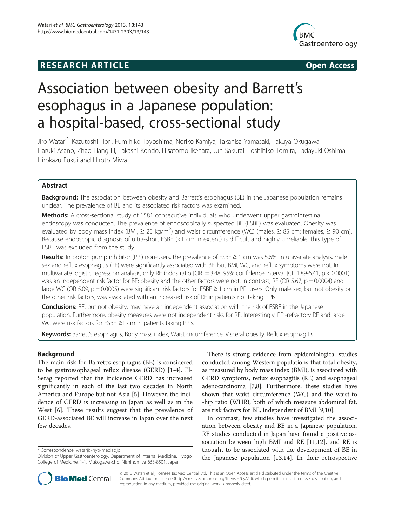## **RESEARCH ARTICLE Example 2014 The SEAR CH ACCESS**



# Association between obesity and Barrett's esophagus in a Japanese population: a hospital-based, cross-sectional study

Jiro Watari\* , Kazutoshi Hori, Fumihiko Toyoshima, Noriko Kamiya, Takahisa Yamasaki, Takuya Okugawa, Haruki Asano, Zhao Liang Li, Takashi Kondo, Hisatomo Ikehara, Jun Sakurai, Toshihiko Tomita, Tadayuki Oshima, Hirokazu Fukui and Hiroto Miwa

## Abstract

Background: The association between obesity and Barrett's esophagus (BE) in the Japanese population remains unclear. The prevalence of BE and its associated risk factors was examined.

Methods: A cross-sectional study of 1581 consecutive individuals who underwent upper gastrointestinal endoscopy was conducted. The prevalence of endoscopically suspected BE (ESBE) was evaluated. Obesity was evaluated by body mass index (BMI,  $\geq 25$  kg/m<sup>2</sup>) and waist circumference (WC) (males,  $\geq 85$  cm; females,  $\geq 90$  cm). Because endoscopic diagnosis of ultra-short ESBE (<1 cm in extent) is difficult and highly unreliable, this type of ESBE was excluded from the study.

Results: In proton pump inhibitor (PPI) non-users, the prevalence of ESBE  $\geq$  1 cm was 5.6%. In univariate analysis, male sex and reflux esophagitis (RE) were significantly associated with BE, but BMI, WC, and reflux symptoms were not. In multivariate logistic regression analysis, only RE (odds ratio [OR] = 3.48, 95% confidence interval [CI] 1.89-6.41, p < 0.0001) was an independent risk factor for BE; obesity and the other factors were not. In contrast, RE (OR 5.67,  $p = 0.0004$ ) and large WC (OR 5.09, p = 0.0005) were significant risk factors for ESBE  $\geq 1$  cm in PPI users. Only male sex, but not obesity or the other risk factors, was associated with an increased risk of RE in patients not taking PPIs.

**Conclusions:** RE, but not obesity, may have an independent association with the risk of ESBE in the Japanese population. Furthermore, obesity measures were not independent risks for RE. Interestingly, PPI-refractory RE and large WC were risk factors for ESBE ≥1 cm in patients taking PPIs.

Keywords: Barrett's esophagus, Body mass index, Waist circumference, Visceral obesity, Reflux esophagitis

### Background

The main risk for Barrett's esophagus (BE) is considered to be gastroesophageal reflux disease (GERD) [\[1-4](#page-6-0)]. El-Serag reported that the incidence GERD has increased significantly in each of the last two decades in North America and Europe but not Asia [[5\]](#page-6-0). However, the incidence of GERD is increasing in Japan as well as in the West [[6\]](#page-6-0). These results suggest that the prevalence of GERD-associated BE will increase in Japan over the next few decades.

\* Correspondence: [watarij@hyo-med.ac.jp](mailto:watarij@hyo-med.ac.jp)

There is strong evidence from epidemiological studies conducted among Western populations that total obesity, as measured by body mass index (BMI), is associated with GERD symptoms, reflux esophagitis (RE) and esophageal adenocarcinoma [\[7,8](#page-6-0)]. Furthermore, these studies have shown that waist circumference (WC) and the waist-to -hip ratio (WHR), both of which measure abdominal fat, are risk factors for BE, independent of BMI [[9,10](#page-6-0)].

In contrast, few studies have investigated the association between obesity and BE in a Japanese population. RE studies conducted in Japan have found a positive association between high BMI and RE [[11,12\]](#page-6-0), and RE is thought to be associated with the development of BE in the Japanese population [\[13,14](#page-6-0)]. In their retrospective



© 2013 Watari et al.; licensee BioMed Central Ltd. This is an Open Access article distributed under the terms of the Creative Commons Attribution License [\(http://creativecommons.org/licenses/by/2.0\)](http://creativecommons.org/licenses/by/2.0), which permits unrestricted use, distribution, and reproduction in any medium, provided the original work is properly cited.

Division of Upper Gastroenterology, Department of Internal Medicine, Hyogo College of Medicine, 1-1, Mukogawa-cho, Nishinomiya 663-8501, Japan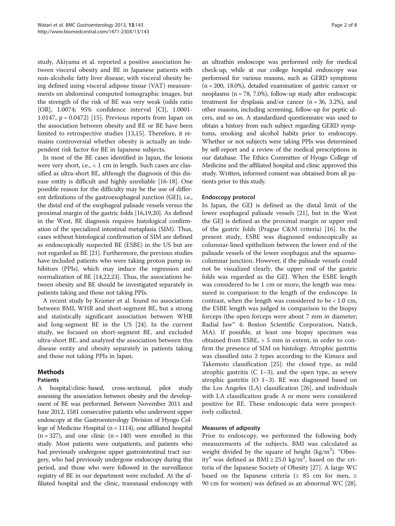study, Akiyama et al. reported a positive association between visceral obesity and BE in Japanese patients with non-alcoholic fatty liver disease, with visceral obesity being defined using visceral adipose tissue (VAT) measurements on abdominal computed tomographic images, but the strength of the risk of BE was very weak (odds ratio [OR], 1.0074; 95% confidence interval [CI], 1.0001- 1.0147,  $p = 0.0472$ ) [[15](#page-6-0)]. Previous reports from Japan on the association between obesity and RE or BE have been limited to retrospective studies [\[13,15](#page-6-0)]. Therefore, it remains controversial whether obesity is actually an independent risk factor for BE in Japanese subjects.

In most of the BE cases identified in Japan, the lesions were very short, i.e., < 1 cm in length. Such cases are classified as ultra-short BE, although the diagnosis of this disease entity is difficult and highly unreliable [\[16](#page-6-0)-[18](#page-6-0)]. One possible reason for the difficulty may be the use of different definitions of the gastroesophageal junction (GEJ), i.e., the distal end of the esophageal palisade vessels versus the proximal margin of the gastric folds [[16,19,20\]](#page-6-0). As defined in the West, BE diagnosis requires histological confirmation of the specialized intestinal metaplasia (SIM). Thus, cases without histological confirmation of SIM are defined as endoscopically suspected BE (ESBE) in the US but are not regarded as BE [\[21\]](#page-6-0). Furthermore, the previous studies have included patients who were taking proton pump inhibitors (PPIs), which may induce the regression and normalization of BE [\[14,22,23](#page-6-0)]. Thus, the associations between obesity and BE should be investigated separately in patients taking and those not taking PPIs.

A recent study by Kramer et al. found no associations between BMI, WHR and short-segment BE, but a strong and statistically significant association between WHR and long-segment BE in the US [\[24](#page-6-0)]. In the current study, we focused on short-segment BE, and excluded ultra-short BE, and analyzed the association between this disease entity and obesity separately in patients taking and those not taking PPIs in Japan.

### Methods

#### Patients

A hospital/clinic-based, cross-sectional, pilot study assessing the association between obesity and the development of BE was performed. Between November 2011 and June 2012, 1581 consecutive patients who underwent upper endoscopy at the Gastroenterology Division of Hyogo College of Medicine Hospital ( $n = 1114$ ), one affiliated hospital  $(n = 327)$ , and one clinic  $(n = 140)$  were enrolled in this study. Most patients were outpatients, and patients who had previously undergone upper gastrointestinal tract surgery, who had previously undergone endoscopy during this period, and those who were followed in the surveillance registry of BE in our department were excluded. At the affiliated hospital and the clinic, transnasal endoscopy with

an ultrathin endoscope was performed only for medical check-up, while at our college hospital endoscopy was performed for various reasons, such as GERD symptoms (n = 200, 18.0%), detailed examination of gastric cancer or neoplasms (n = 78, 7.0%), follow-up study after endoscopic treatment for dysplasia and/or cancer  $(n = 36, 3.2\%)$ , and other reasons, including screening, follow-up for peptic ulcers, and so on. A standardized questionnaire was used to obtain a history from each subject regarding GERD symptoms, smoking and alcohol habits prior to endoscopy. Whether or not subjects were taking PPIs was determined by self-report and a review of the medical prescriptions in our database. The Ethics Committee of Hyogo College of Medicine and the affiliated hospital and clinic approved this study. Written, informed consent was obtained from all patients prior to this study.

#### Endoscopy protocol

In Japan, the GEJ is defined as the distal limit of the lower esophageal palisade vessels [\[21\]](#page-6-0), but in the West the GEJ is defined as the proximal margin or upper end of the gastric folds (Prague C&M criteria) [[16\]](#page-6-0). In the present study, ESBE was diagnosed endoscopically as columnar-lined epithelium between the lower end of the palisade vessels of the lower esophagus and the squamocolumnar junction. However, if the palisade vessels could not be visualized clearly, the upper end of the gastric folds was regarded as the GEJ. When the ESBE length was considered to be 1 cm or more, the length was measured in comparison to the length of the endoscope. In contrast, when the length was considered to be  $< 1.0$  cm, the ESBE length was judged in comparison to the biopsy forceps (the open forceps were about 7 mm in diameter; Radial Jaw™ 4: Boston Scientific Corporation, Natick, MA). If possible, at least one biopsy specimen was obtained from ESBE, > 5 mm in extent, in order to confirm the presence of SIM on histology. Atrophic gastritis was classified into 2 types according to the Kimura and Takemoto classification [[25\]](#page-6-0): the closed type, as mild atrophic gastritis  $(C \ 1-3)$ , and the open type, as severe atrophic gastritis  $(O 1-3)$ . RE was diagnosed based on the Los Angeles (LA) classification [[26\]](#page-6-0), and individuals with LA classification grade A or more were considered positive for RE. These endoscopic data were prospectively collected.

#### Measures of adiposity

Prior to endoscopy, we performed the following body measurements of the subjects. BMI was calculated as weight divided by the square of height  $(kg/m<sup>2</sup>)$ . "Obesity" was defined as  $BMI \geq 25.0$  kg/m<sup>2</sup>, based on the criteria of the Japanese Society of Obesity [\[27\]](#page-6-0). A large WC based on the Japanese criteria ( $\geq$  85 cm for men,  $\geq$ 90 cm for women) was defined as an abnormal WC [\[28](#page-6-0)].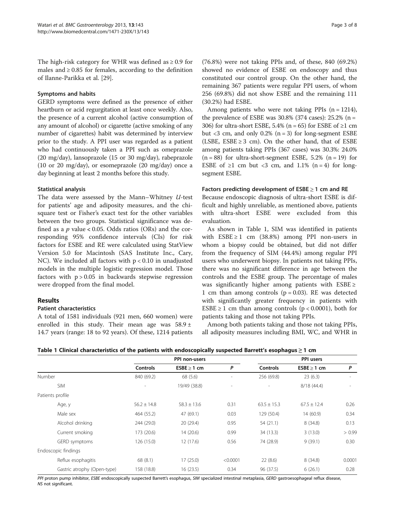The high-risk category for WHR was defined as  $\geq 0.9$  for males and  $\geq 0.85$  for females, according to the definition of Ilanne-Parikka et al. [[29](#page-6-0)].

#### Symptoms and habits

GERD symptoms were defined as the presence of either heartburn or acid regurgitation at least once weekly. Also, the presence of a current alcohol (active consumption of any amount of alcohol) or cigarette (active smoking of any number of cigarettes) habit was determined by interview prior to the study. A PPI user was regarded as a patient who had continuously taken a PPI such as omeprazole (20 mg/day), lansoprazole (15 or 30 mg/day), rabeprazole (10 or 20 mg/day), or esomeprazole (20 mg/day) once a day beginning at least 2 months before this study.

#### Statistical analysis

The data were assessed by the Mann–Whitney U-test for patients' age and adiposity measures, and the chisquare test or Fisher's exact test for the other variables between the two groups. Statistical significance was defined as a  $p$  value < 0.05. Odds ratios (ORs) and the corresponding 95% confidence intervals (CIs) for risk factors for ESBE and RE were calculated using StatView Version 5.0 for Macintosh (SAS Institute Inc., Cary, NC). We included all factors with p < 0.10 in unadjusted models in the multiple logistic regression model. Those factors with  $p > 0.05$  in backwards stepwise regression were dropped from the final model.

#### Results

#### Patient characteristics

A total of 1581 individuals (921 men, 660 women) were enrolled in this study. Their mean age was  $58.9 \pm$ 14.7 years (range: 18 to 92 years). Of these, 1214 patients

(76.8%) were not taking PPIs and, of these, 840 (69.2%) showed no evidence of ESBE on endoscopy and thus constituted our control group. On the other hand, the remaining 367 patients were regular PPI users, of whom 256 (69.8%) did not show ESBE and the remaining 111 (30.2%) had ESBE.

Among patients who were not taking PPIs  $(n = 1214)$ , the prevalence of ESBE was  $30.8\%$  (374 cases):  $25.2\%$  (n = 306) for ultra-short ESBE, 5.4% (n = 65) for ESBE of  $\geq$ 1 cm but  $<$ 3 cm, and only 0.2% (n = 3) for long-segment ESBE (LSBE,  $ESBE \geq 3$  cm). On the other hand, that of  $ESBE$ among patients taking PPIs (367 cases) was 30.3%: 24.0%  $(n = 88)$  for ultra-short-segment ESBE, 5.2%  $(n = 19)$  for ESBE of  $\geq 1$  cm but <3 cm, and 1.1% (n = 4) for longsegment ESBE.

#### Factors predicting development of  $ESBE \geq 1$  cm and RE

Because endoscopic diagnosis of ultra-short ESBE is difficult and highly unreliable, as mentioned above, patients with ultra-short ESBE were excluded from this evaluation.

As shown in Table 1, SIM was identified in patients with  $ESBE \ge 1$  cm (38.8%) among PPI non-users in whom a biopsy could be obtained, but did not differ from the frequency of SIM (44.4%) among regular PPI users who underwent biopsy. In patients not taking PPIs, there was no significant difference in age between the controls and the ESBE group. The percentage of males was significantly higher among patients with  $ESBE \geq$ 1 cm than among controls  $(p = 0.03)$ . RE was detected with significantly greater frequency in patients with ESBE  $\geq 1$  cm than among controls ( $p < 0.0001$ ), both for patients taking and those not taking PPIs.

Among both patients taking and those not taking PPIs, all adiposity measures including BMI, WC, and WHR in

| Table 1 Clinical characteristics of the patients with endoscopically suspected Barrett's esophagus $\geq$ 1 cm |               |           |  |  |  |
|----------------------------------------------------------------------------------------------------------------|---------------|-----------|--|--|--|
|                                                                                                                | PPI non-users | PPI users |  |  |  |

|                             | ггтнон-чэсгэ    |                  |                | ггі изсіз                |                  |        |
|-----------------------------|-----------------|------------------|----------------|--------------------------|------------------|--------|
|                             | <b>Controls</b> | $ESBE \geq 1$ cm | P              | <b>Controls</b>          | $ESBE \geq 1$ cm | P      |
| Number                      | 840 (69.2)      | 68 (5.6)         | $\overline{a}$ | 256 (69.8)               | 23(6.3)          |        |
| <b>SIM</b>                  | ٠               | 19/49 (38.8)     | $\overline{a}$ | $\overline{\phantom{a}}$ | 8/18 (44.4)      |        |
| Patients profile            |                 |                  |                |                          |                  |        |
| Age, y                      | $56.2 \pm 14.8$ | $58.3 \pm 13.6$  | 0.31           | $63.5 \pm 15.3$          | $67.5 \pm 12.4$  | 0.26   |
| Male sex                    | 464 (55.2)      | 47 (69.1)        | 0.03           | 129 (50.4)               | 14(60.9)         | 0.34   |
| Alcohol drinking            | 244 (29.0)      | 20(29.4)         | 0.95           | 54(21.1)                 | 8(34.8)          | 0.13   |
| Current smoking             | 173 (20.6)      | 14(20.6)         | 0.99           | 34 (13.3)                | 3(13.0)          | > 0.99 |
| <b>GERD</b> symptoms        | 126 (15.0)      | 12(17.6)         | 0.56           | 74 (28.9)                | 9(39.1)          | 0.30   |
| Endoscopic findings         |                 |                  |                |                          |                  |        |
| Reflux esophagitis          | 68(8.1)         | 17(25.0)         | < 0.0001       | 22(8.6)                  | 8(34.8)          | 0.0001 |
| Gastric atrophy (Open-type) | 158 (18.8)      | 16(23.5)         | 0.34           | 96 (37.5)                | 6(26.1)          | 0.28   |

PPI proton pump inhibitor, ESBE endoscopically suspected Barrett's esophagus, SIM specialized intestinal metaplasia, GERD gastroesophageal reflux disease, NS not significant.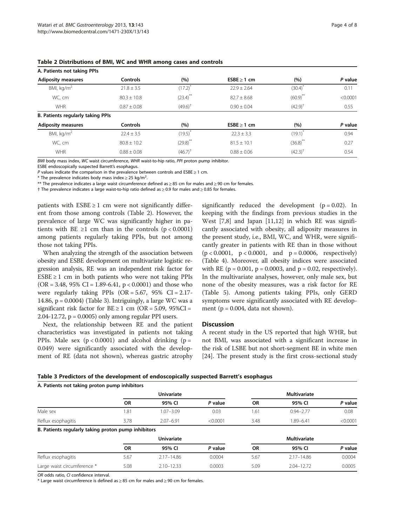| A. Patients not taking PPIs       |                 |                        |                 |                        |          |
|-----------------------------------|-----------------|------------------------|-----------------|------------------------|----------|
| <b>Adiposity measures</b>         | <b>Controls</b> | (%)                    | $ESBE > 1$ cm   | (%)                    | P value  |
| BMI, $kg/m2$                      | $21.8 \pm 3.5$  | $(17.2)^{n}$           | $22.9 \pm 2.64$ | $(30.4)^{7}$           | 0.11     |
| WC. cm                            | $80.3 + 10.8$   | $(23.4)$ **            | $82.7 + 8.68$   | $(60.9)$ <sup>**</sup> | < 0.0001 |
| <b>WHR</b>                        | $0.87 \pm 0.08$ | $(49.6)^{+}$           | $0.90 \pm 0.04$ | $(42.9)$ <sup>†</sup>  | 0.55     |
| B. Patients regularly taking PPIs |                 |                        |                 |                        |          |
| <b>Adiposity measures</b>         | <b>Controls</b> | (%)                    | $ESBE > 1$ cm   | (%)                    | P value  |
| BMI, $kg/m2$                      | $22.4 \pm 3.5$  | $(19.5)^{^{\circ}}$    | $22.3 \pm 3.3$  | $(19.1)^{^{\circ}}$    | 0.94     |
| WC. cm                            | $80.8 \pm 10.2$ | $(29.8)$ <sup>**</sup> | $81.5 + 10.1$   | $(36.8)$ <sup>**</sup> | 0.27     |
| <b>WHR</b>                        | $0.88 \pm 0.08$ | $(46.7)^{+}$           | $0.88 + 0.06$   | $(42.3)^{1}$           | 0.54     |

#### Table 2 Distributions of BMI, WC and WHR among cases and controls

BMI body mass index, WC waist circumference, WHR waist-to-hip ratio, PPI proton pump inhibitor.

ESBE endoscopically suspected Barrett's esophagus.

P values indicate the comparison in the prevalence between controls and  $ESBE \ge 1$  cm.

\* The prevalence indicates body mass index > 25 kg/m<sup>2</sup>

. \*\* The prevalence indicates a large waist circumference defined as ≥ 85 cm for males and ≥ 90 cm for females.

† The prevalence indicates a large waist-to-hip ratio defined as ≥ 0.9 for males and ≥ 0.85 for females.

patients with  $ESBE \geq 1$  cm were not significantly different from those among controls (Table 2). However, the prevalence of large WC was significantly higher in patients with  $BE \ge 1$  cm than in the controls (p < 0.0001) among patients regularly taking PPIs, but not among those not taking PPIs.

When analyzing the strength of the association between obesity and ESBE development on multivariate logistic regression analysis, RE was an independent risk factor for  $ESBE \geq 1$  cm in both patients who were not taking PPIs  $(OR = 3.48, 95\% CI = 1.89-6.41, p < 0.0001)$  and those who were regularly taking PPIs  $(OR = 5.67, 95\% \text{ CI} = 2.17$ -14.86,  $p = 0.0004$ ) (Table 3). Intriguingly, a large WC was a significant risk factor for  $BE \ge 1$  cm (OR = 5.09, 95%CI = 2.04-12.72, p = 0.0005) only among regular PPI users.

Next, the relationship between RE and the patient characteristics was investigated in patients not taking PPIs. Male sex  $(p < 0.0001)$  and alcohol drinking  $(p = 1.0001)$ 0.049) were significantly associated with the development of RE (data not shown), whereas gastric atrophy significantly reduced the development  $(p = 0.02)$ . In keeping with the findings from previous studies in the West [[7,8\]](#page-6-0) and Japan [\[11,12](#page-6-0)] in which RE was significantly associated with obesity, all adiposity measures in the present study, i.e., BMI, WC, and WHR, were significantly greater in patients with RE than in those without  $(p < 0.0001, p < 0.0001, and p = 0.0006, respectively)$ (Table [4](#page-4-0)). Moreover, all obesity indices were associated with RE ( $p = 0.001$ ,  $p = 0.0003$ , and  $p = 0.02$ , respectively). In the multivariate analyses, however, only male sex, but none of the obesity measures, was a risk factor for RE (Table [5\)](#page-4-0). Among patients taking PPIs, only GERD symptoms were significantly associated with RE development ( $p = 0.004$ , data not shown).

#### **Discussion**

A recent study in the US reported that high WHR, but not BMI, was associated with a significant increase in the risk of LSBE but not short-segment BE in white men [[24\]](#page-6-0). The present study is the first cross-sectional study

| Table 3 Predictors of the development of endoscopically suspected Barrett's esophagus |  |  |
|---------------------------------------------------------------------------------------|--|--|
|---------------------------------------------------------------------------------------|--|--|

| A. Patients not taking proton pump inhibitors       |           |                   |          |           |                |          |
|-----------------------------------------------------|-----------|-------------------|----------|-----------|----------------|----------|
|                                                     |           | <b>Univariate</b> |          |           | Multivariate   |          |
|                                                     | <b>OR</b> | 95% CI            | P value  | <b>OR</b> | 95% CI         | P value  |
| Male sex                                            | 1.81      | $1.07 - 3.09$     | 0.03     | 1.61      | $0.94 - 2.77$  | 0.08     |
| Reflux esophagitis                                  | 3.78      | $2.07 - 6.91$     | < 0.0001 | 3.48      | $1.89 - 6.41$  | < 0.0001 |
| B. Patients regularly taking proton pump inhibitors |           |                   |          |           |                |          |
|                                                     |           | <b>Univariate</b> |          |           | Multivariate   |          |
|                                                     | <b>OR</b> | 95% CI            | P value  | <b>OR</b> | 95% CI         | P value  |
| Reflux esophagitis                                  | 5.67      | $2.17 - 14.86$    | 0.0004   | 5.67      | $2.17 - 14.86$ | 0.0004   |
| Large waist circumference *                         | 5.08      | $2.10 - 12.33$    | 0.0003   | 5.09      | $2.04 - 12.72$ | 0.0005   |
|                                                     |           |                   |          |           |                |          |

OR odds ratio, CI confidence interval.

\* Large waist circumference is defined as ≥ 85 cm for males and ≥ 90 cm for females.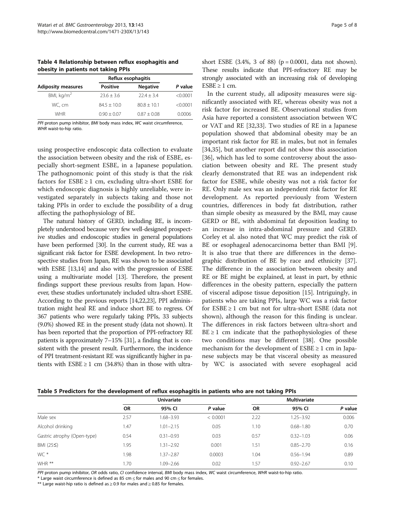<span id="page-4-0"></span>Table 4 Relationship between reflux esophagitis and obesity in patients not taking PPIs

|                           |                 | Reflux esophagitis |          |
|---------------------------|-----------------|--------------------|----------|
| <b>Adiposity measures</b> | <b>Positive</b> | <b>Negative</b>    | P value  |
| BMI, $kg/m2$              | $23.6 + 3.6$    | $72.4 + 3.4$       | < 0.0001 |
| WC, cm                    | $84.5 + 10.0$   | $80.8 + 10.1$      | < 0.0001 |
| <b>WHR</b>                | $0.90 + 0.07$   | $0.87 + 0.08$      | 0.0006   |

PPI proton pump inhibitor, BMI body mass index, WC waist circumference, WHR waist-to-hip ratio.

using prospective endoscopic data collection to evaluate the association between obesity and the risk of ESBE, especially short-segment ESBE, in a Japanese population. The pathognomonic point of this study is that the risk factors for  $ESBE \geq 1$  cm, excluding ultra-short ESBE for which endoscopic diagnosis is highly unreliable, were investigated separately in subjects taking and those not taking PPIs in order to exclude the possibility of a drug affecting the pathophysiology of BE.

The natural history of GERD, including RE, is incompletely understood because very few well-designed prospective studies and endoscopic studies in general populations have been performed [[30](#page-6-0)]. In the current study, RE was a significant risk factor for ESBE development. In two retrospective studies from Japan, RE was shown to be associated with ESBE [\[13,14\]](#page-6-0) and also with the progression of ESBE using a multivariate model [\[13](#page-6-0)]. Therefore, the present findings support these previous results from Japan. However, these studies unfortunately included ultra-short ESBE. According to the previous reports [\[14,22,23\]](#page-6-0), PPI administration might heal RE and induce short BE to regress. Of 367 patients who were regularly taking PPIs, 33 subjects (9.0%) showed RE in the present study (data not shown). It has been reported that the proportion of PPI-refractory RE patients is approximately 7–15% [\[31\]](#page-6-0), a finding that is consistent with the present result. Furthermore, the incidence of PPI treatment-resistant RE was significantly higher in patients with  $ESBE \ge 1$  cm (34.8%) than in those with ultrashort ESBE  $(3.4\%, 3 \text{ of } 88)$   $(p = 0.0001, \text{ data not shown}).$ These results indicate that PPI-refractory RE may be strongly associated with an increasing risk of developing  $ESBE \geq 1$  cm.

In the current study, all adiposity measures were significantly associated with RE, whereas obesity was not a risk factor for increased BE. Observational studies from Asia have reported a consistent association between WC or VAT and RE [[32](#page-6-0),[33](#page-6-0)]. Two studies of RE in a Japanese population showed that abdominal obesity may be an important risk factor for RE in males, but not in females [[34,35\]](#page-6-0), but another report did not show this association [[36\]](#page-7-0), which has led to some controversy about the association between obesity and RE. The present study clearly demonstrated that RE was an independent risk factor for ESBE, while obesity was not a risk factor for RE. Only male sex was an independent risk factor for RE development. As reported previously from Western countries, differences in body fat distribution, rather than simple obesity as measured by the BMI, may cause GERD or BE, with abdominal fat deposition leading to an increase in intra-abdominal pressure and GERD. Corley et al. also noted that WC may predict the risk of BE or esophageal adenocarcinoma better than BMI [\[9](#page-6-0)]. It is also true that there are differences in the demographic distribution of BE by race and ethnicity [\[37](#page-7-0)]. The difference in the association between obesity and RE or BE might be explained, at least in part, by ethnic differences in the obesity pattern, especially the pattern of visceral adipose tissue deposition [\[15\]](#page-6-0). Intriguingly, in patients who are taking PPIs, large WC was a risk factor for ESBE ≥ 1 cm but not for ultra-short ESBE (data not shown), although the reason for this finding is unclear. The differences in risk factors between ultra-short and  $BE \geq 1$  cm indicate that the pathophysiologies of these two conditions may be different [\[38\]](#page-7-0). One possible mechanism for the development of  $ESBE \ge 1$  cm in Japanese subjects may be that visceral obesity as measured by WC is associated with severe esophageal acid

|  |  |  | Table 5 Predictors for the development of reflux esophagitis in patients who are not taking PPIs |
|--|--|--|--------------------------------------------------------------------------------------------------|
|  |  |  |                                                                                                  |

|                             | <b>Univariate</b> |               |          | <b>Multivariate</b> |               |         |  |
|-----------------------------|-------------------|---------------|----------|---------------------|---------------|---------|--|
|                             | <b>OR</b>         | 95% CI        | P value  | <b>OR</b>           | 95% CI        | P value |  |
| Male sex                    | 2.57              | $1.68 - 3.93$ | < 0.0001 | 2.22                | $1.25 - 3.92$ | 0.006   |  |
| Alcohol drinking            | 1.47              | $1.01 - 2.15$ | 0.05     | 1.10                | $0.68 - 1.80$ | 0.70    |  |
| Gastric atrophy (Open-type) | 0.54              | $0.31 - 0.93$ | 0.03     | 0.57                | $0.32 - 1.03$ | 0.06    |  |
| BMI (25≤)                   | 1.95              | $1.31 - 2.92$ | 0.001    | 1.51                | $0.85 - 2.70$ | 0.16    |  |
| WC*                         | 1.98              | $1.37 - 2.87$ | 0.0003   | 1.04                | $0.56 - 1.94$ | 0.89    |  |
| WHR <sup>**</sup>           | 1.70              | $1.09 - 2.66$ | 0.02     | 1.57                | $0.92 - 2.67$ | 0.10    |  |

PPI proton pump inhibitor, OR odds ratio, CI confidence interval, BMI body mass index, WC waist circumference, WHR waist-to-hip ratio.

\* Large waist circumference is defined as 85 cm ≤ for males and 90 cm ≤ for females.

\*\* Large waist-hip ratio is defined as  $\geq$  0.9 for males and  $\geq$  0.85 for females.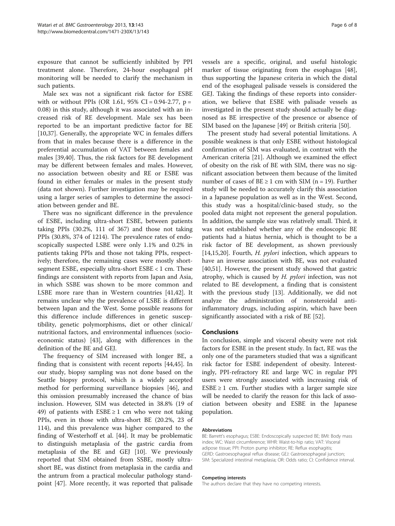exposure that cannot be sufficiently inhibited by PPI treatment alone. Therefore, 24-hour esophageal pH monitoring will be needed to clarify the mechanism in such patients.

Male sex was not a significant risk factor for ESBE with or without PPIs (OR 1.61, 95% CI = 0.94-2.77,  $p =$ 0.08) in this study, although it was associated with an increased risk of RE development. Male sex has been reported to be an important predictive factor for BE [[10,](#page-6-0)[37\]](#page-7-0). Generally, the appropriate WC in females differs from that in males because there is a difference in the preferential accumulation of VAT between females and males [\[39,40](#page-7-0)]. Thus, the risk factors for BE development may be different between females and males. However, no association between obesity and RE or ESBE was found in either females or males in the present study (data not shown). Further investigation may be required using a larger series of samples to determine the association between gender and BE.

There was no significant difference in the prevalence of ESBE, including ultra-short ESBE, between patients taking PPIs (30.2%, 111 of 367) and those not taking PPIs (30.8%, 374 of 1214). The prevalence rates of endoscopically suspected LSBE were only 1.1% and 0.2% in patients taking PPIs and those not taking PPIs, respectively; therefore, the remaining cases were mostly shortsegment ESBE, especially ultra-short ESBE < 1 cm. These findings are consistent with reports from Japan and Asia, in which SSBE was shown to be more common and LSBE more rare than in Western countries [\[41,42\]](#page-7-0). It remains unclear why the prevalence of LSBE is different between Japan and the West. Some possible reasons for this difference include differences in genetic susceptibility, genetic polymorphisms, diet or other clinical/ nutritional factors, and environmental influences (socioeconomic status) [[43\]](#page-7-0), along with differences in the definition of the BE and GEJ.

The frequency of SIM increased with longer BE, a finding that is consistent with recent reports [\[44,45\]](#page-7-0). In our study, biopsy sampling was not done based on the Seattle biopsy protocol, which is a widely accepted method for performing surveillance biopsies [\[46](#page-7-0)], and this omission presumably increased the chance of bias inclusion. However, SIM was detected in 38.8% (19 of 49) of patients with  $ESBE \ge 1$  cm who were not taking PPIs, even in those with ultra-short BE (20.2%, 23 of 114), and this prevalence was higher compared to the finding of Westerhoff et al. [\[44\]](#page-7-0). It may be problematic to distinguish metaplasia of the gastric cardia from metaplasia of the BE and GEJ [\[10](#page-6-0)]. We previously reported that SIM obtained from SSBE, mostly ultrashort BE, was distinct from metaplasia in the cardia and the antrum from a practical molecular pathology standpoint [\[47](#page-7-0)]. More recently, it was reported that palisade

vessels are a specific, original, and useful histologic marker of tissue originating from the esophagus [\[48](#page-7-0)], thus supporting the Japanese criteria in which the distal end of the esophageal palisade vessels is considered the GEJ. Taking the findings of these reports into consideration, we believe that ESBE with palisade vessels as investigated in the present study should actually be diagnosed as BE irrespective of the presence or absence of SIM based on the Japanese [\[49](#page-7-0)] or British criteria [[50\]](#page-7-0).

The present study had several potential limitations. A possible weakness is that only ESBE without histological confirmation of SIM was evaluated, in contrast with the American criteria [\[21\]](#page-6-0). Although we examined the effect of obesity on the risk of BE with SIM, there was no significant association between them because of the limited number of cases of  $BE \ge 1$  cm with SIM (n = 19). Further study will be needed to accurately clarify this association in a Japanese population as well as in the West. Second, this study was a hospital/clinic-based study, so the pooled data might not represent the general population. In addition, the sample size was relatively small. Third, it was not established whether any of the endoscopic BE patients had a hiatus hernia, which is thought to be a risk factor of BE development, as shown previously [[14,15,20\]](#page-6-0). Fourth, *H. pylori* infection, which appears to have an inverse association with BE, was not evaluated [[40,51\]](#page-7-0). However, the present study showed that gastric atrophy, which is caused by  $H$ . *pylori* infection, was not related to BE development, a finding that is consistent with the previous study [\[13](#page-6-0)]. Additionally, we did not analyze the administration of nonsteroidal antiinflammatory drugs, including aspirin, which have been significantly associated with a risk of BE [\[52\]](#page-7-0).

#### Conclusions

In conclusion, simple and visceral obesity were not risk factors for ESBE in the present study. In fact, RE was the only one of the parameters studied that was a significant risk factor for ESBE independent of obesity. Interestingly, PPI-refractory RE and large WC in regular PPI users were strongly associated with increasing risk of  $ESBE \geq 1$  cm. Further studies with a larger sample size will be needed to clarify the reason for this lack of association between obesity and ESBE in the Japanese population.

#### Abbreviations

BE: Barrett's esophagus; ESBE: Endoscopically suspected BE; BMI: Body mass index; WC: Waist circumference; WHR: Waist-to-hip ratio; VAT: Visceral adipose tissue; PPI: Proton pump inhibitor; RE: Reflux esophagitis; GERD: Gastroesophageal reflux disease; GEJ: Gastroesophageal junction; SIM: Specialized intestinal metaplasia; OR: Odds ratio; CI: Confidence interval.

#### Competing interests

The authors declare that they have no competing interests.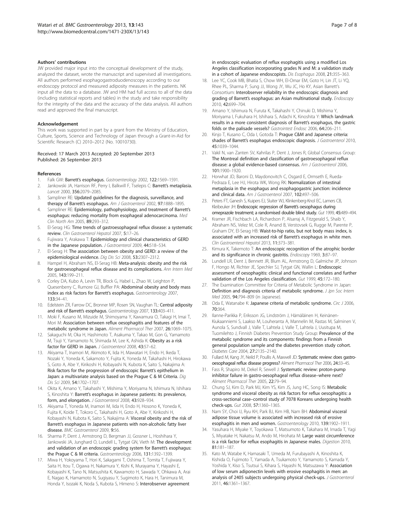#### <span id="page-6-0"></span>Authors' contributions

JW provided major input into the conceptual development of the study, analyzed the dataset, wrote the manuscript and supervised all investigations. All authors performed esophagogastroduodenoscopy according to our endoscopy protocol and measured adiposity measures in the patients. NK input all the data to a database. JW and HM had full access to all of the data (including statistical reports and tables) in the study and take responsibility for the integrity of the data and the accuracy of the data analysis. All authors read and approved the final manuscript.

#### Acknowledgement

This work was supported in part by a grant from the Ministry of Education, Culture, Sports, Science and Technology of Japan through a Grant-in-Aid for Scientific Research (C) 2010–2012 (No. 10010730).

#### Received: 17 March 2013 Accepted: 20 September 2013 Published: 26 September 2013

#### References

- 1. Falk GW: Barrett's esophagus. Gastroenterology 2002, 122:1569-1591.
- 2. Jankowski JA, Harrison RF, Perry I, Balkwill F, Tselepis C: Barrett's metaplasia. Lancet 2000, 356:2079–2085.
- 3. Sampliner RE: Updated guidelines for the diagnosis, surveillance, and therapy of Barrett's esophagus. Am J Gastroenterol 2002, 97:1888-1895.
- 4. Sampliner RE: Epidemiology, pathophysiology, and treatment of Barrett's esophagus: reducing mortality from esophageal adenocarcinoma. Med Clin North Am 2005, 89:293–312.
- 5. El-Serag HG: Time trends of gastroesophageal reflux disease: a systematic review. Clin Gastroenterol Hepatol 2007, 5:17–26.
- 6. Fujiwara Y, Arakawa T: Epidemiology and clinical characteristics of GERD in the Japanese population. J Gastroenterol 2009, 44:518-534.
- 7. El-Serag H: The association between obesity and GERD: a review of the epidemiological evidence. Dig Dis Sci 2008, 53:2307–2312.
- Hampel H, Abraham NS, El-Serag HB: Meta-analysis: obesity and the risk for gastroesophageal reflux disease and its complications. Ann Intern Med 2005, 143:199–211.
- 9. Corley DA, Kubo A, Levin TR, Block G, Habel L, Zhao W, Leighton P, Quesenberry C, Rumore GJ, Buffler PA: Abdominal obesity and body mass index as risk factors for Barrett's esophagus. Gastroenterology 2007, 133:34–41.
- 10. Edelstein ZR, Farrow DC, Bronner MP, Rosen SN, Vaughan TL: Central adiposity and risk of Barrett's esophagus. Gastroenterology 2007, 133:403–411.
- 11. Moki F, Kusano M, Mizuide M, Shimoyama Y, Kawamura O, Takagi H, Imai T, Mori M: Association between reflux oesophagitis and features of the metabolic syndrome in Japan. Aliment Pharmacol Ther 2007, 26:1069–1075.
- 12. Sakaguchi M, Oka H, Hashimoto T, Asakuma Y, Takao M, Gon G, Yamamoto M, Tsuji Y, Yamamoto N, Shimada M, Lee K, Ashida K: Obesity as a risk factor for GERD in Japan. J Gastroenterol 2008, 43:57-62.
- 13. Akiyama T, Inamori M, Akimoto K, Iida H, Mawatari H, Endo H, Ikeda T, Nozaki Y, Yoneda K, Sakamoto Y, Fujita K, Yoneda M, Takahashi H, Hirokawa S, Goto A, Abe Y, Kirikoshi H, Kobayashi N, Kubota K, Saito S, Nakajima A: Risk factors for the progression of endoscopic Barrett's epithelium in Japan: a multivariate analysis based on the Prague C & M Criteria. Dig Dis Sci 2009, 54:1702–1707.
- 14. Okita K, Amano Y, Takahashi Y, Mishima Y, Moriyama N, Ishimura N, Ishihara S, Kinoshita Y: Barrett's esophagus in Japanese patients: its prevalence, form, and elongation. J Gastroenterol 2008, 43:928–934.
- 15. Akiyama T, Yoneda M, Inamori M, Iida H, Endo H, Hosono K, Yoneda K, Fujita K, Koide T, Tokoro C, Takahashi H, Goto A, Abe Y, Kirikoshi H, Kobayashi N, Kubota K, Saito S, Nakajima A: Visceral obesity and the risk of Barrett's esophagus in Japanese patients with non-alcoholic fatty liver disease. BMC Gastroenterol 2009, 9:56.
- 16. Sharma P, Dent J, Armstrong D, Bergman JJ, Gossner L, Hoshihara Y, Jankowski JA, Junghard O, Lundell L, Tytgat GN, Vieth M: The development and validation of an endoscopic grading system for Barrett's esophagus: the Prague C & M criteria. Gastroenterology 2006, 131:1392–1399.
- 17. Miwa H, Yokoyama T, Hori K, Sakagami T, Oshima T, Tomita T, Fujiwara Y, Saita H, Itou T, Ogawa H, Nakamura Y, Kishi K, Murayama Y, Hayashi E, Kobayashi K, Tano N, Matsushita K, Kawamoto H, Sawada Y, Ohkawa A, Arai E, Nagao K, Hamamoto N, Sugiyasu Y, Sugimoto K, Hara H, Tanimura M, Honda Y, Isozaki K, Noda S, Kubota S, Himeno S: Interobserver agreement

in endoscopic evaluation of reflux esophagitis using a modified Los Angeles classification incorporating grades N and M: a validation study in a cohort of Japanese endoscopists. Dis Esophagus 2008, 21:355–363.

- 18. Lee YC, Cook MB, Bhatia S, Chow WH, El-Omar EM, Goto H, Lin JT, Li YQ, Rhee PL, Sharma P, Sung JJ, Wong JY, Wu JC, Ho KY, Asian Barrett's Consortium: Interobserver reliability in the endoscopic diagnosis and grading of Barrett's esophagus: an Asian multinational study. Endoscopy 2010, 42:699–704.
- 19. Amano Y, Ishimura N, Furuta K, Takahashi Y, Chinuki D, Mishima Y, Moriyama I, Fukuhara H, Ishihara S, Adachi K, Kinoshita Y: Which landmark results in a more consistent diagnosis of Barrett's esophagus, the gastric folds or the palisade vessels? Gastrointest Endosc 2006, 64:206–211.
- 20. Kinjo T, Kusano C, Oda I, Gotoda T: Prague C&M and Japanese criteria: shades of Barrett's esophagus endoscopic diagnosis. J Gastroenterol 2010, 45:1039–1044.
- 21. Vakil N, van Zanten SV, Kahrilas P, Dent J, Jones R, Global Consensus Group: The Montreal definition and classification of gastroesophageal reflux disease: a global evidence-based consensus. Am J Gastroenterol 2006, 101:1900–1920.
- 22. Horwhat JD, Baroni D, Maydonovitch C, Osgard E, Ormseth E, Rueda-Pedraza E, Lee HJ, Hirota WK, Wong RK: Normalization of intestinal metaplasia in the esophagus and esophagogastric junction: incidence and clinical data. Am J Gastroenterol 2007, 102:497–506.
- 23. Peters FT, Ganesh S, Kuipers EJ, Sluiter WJ, Klinkenberg-Knol EC, Lamers CB, Kleibeuker JH: Endoscopic regression of Barrett's oesophagus during omeprazole treatment; a randomised double blind study. Gut 1999, 45:489–494.
- 24. Kramer JR, Fischbach LA, Richardson P, Alsarraj A, Fitzgerald S, Shaib Y, Abraham NS, Velez M, Cole R, Anand B, Verstovsek G, Rugge M, Parente P, Graham DY, El-Serag HB: Waist-to-hip ratio, but not body mass index, is associated with an increased risk of Barrett's esophagus in white men. Clin Gastroenterol Hepatol 2013, 11:373–381.
- 25. Kimura K, Takemoto T: An endoscopic recognition of the atrophic border and its significance in chronic gastritis. Endoscopy 1969, 3:87-97.
- 26. Lundell LR, Dent J, Bennett JR, Blum AL, Armstrong D, Galmiche JP, Johnson F, Hongo M, Richter JE, Spechler SJ, Tytgat GN, Wallin L: Endoscopic assessment of oesophagitis: clinical and functional correlates and further validation of the Los Angeles classification. Gut 1999, 45:172–180.
- 27. The Examination Committee for Criteria of Metabolic Syndrome in Japan: Definition and diagnosis criteria of metabolic syndrome. J Jpn Soc Intern Med 2005, 94:794–809 (in Japanese).
- 28. Oda E, Watanabe K: Japanese criteria of metabolic syndrome. Circ J 2006, 70:364.
- 29. Ilanne-Parikka P, Eriksson JG, Lindström J, Hämäläinen H, Keinänen-Kiukaanniemi S, Laakso M, Louheranta A, Mannelin M, Rastas M, Salminen V, Aunola S, Sundvall J, Valle T, Lahtela J, Valle T, Lahtela J, Uusitupa M, Tuomilehto J, Finnish Diabetes Prevention Study Group: Prevalence of the metabolic syndrome and its components: findings from a Finnish general population sample and the diabetes prevention study cohort. Diabetes Care 2004, 27:2135–2140.
- 30. Fullard M, Kang JY, Neild P, Poullis A, Maxwell JD: Systematic review: does gastrooesophageal reflux disease progress? Aliment Pharmacol Ther 2006, 24:33–45.
- 31. Fass R, Shapiro M, Dekel R, Sewell J: Systematic review: proton-pump inhibitor failure in gastro-oesophageal reflux disease–where next? Aliment Pharmacol Ther 2005, 22:79–94.
- 32. Chung SJ, Kim D, Park MJ, Kim YS, Kim JS, Jung HC, Song IS: Metabolic syndrome and visceral obesity as risk factors for reflux oesophagitis: a cross-sectional case–control study of 7078 Koreans undergoing health check-ups. Gut 2008, 57:1360–1365.
- 33. Nam SY, Choi IJ, Ryu KH, Park BJ, Kim HB, Nam BH: Abdominal visceral adipose tissue volume is associated with increased risk of erosive esophagitis in men and women. Gastroenterology 2010, 139:1902–1911.
- 34. Yasuhara H, Miyake Y, Toyokawa T, Matsumoto K, Takahara M, Imada T, Yagi S, Miyatake H, Nakatsu M, Ando M, Hirohata M: Large waist circumference is a risk factor for reflux esophagitis in Japanese males. Digestion 2010, 81:181–187.
- 35. Kato M, Watabe K, Hamasaki T, Umeda M, Furubayashi A, Kinoshita K, Kishida O, Fujimoto T, Yamada A, Tsukamoto Y, Yamamoto S, Kamada Y, Yoshida Y, Kiso S, Tsutsui S, Kihara S, Hayashi N, Matsuzawa Y: Association of low serum adiponectin levels with erosive esophagitis in men: an analysis of 2405 subjects undergoing physical check-ups. J Gastroenterol 2011, 46:1361–1367.